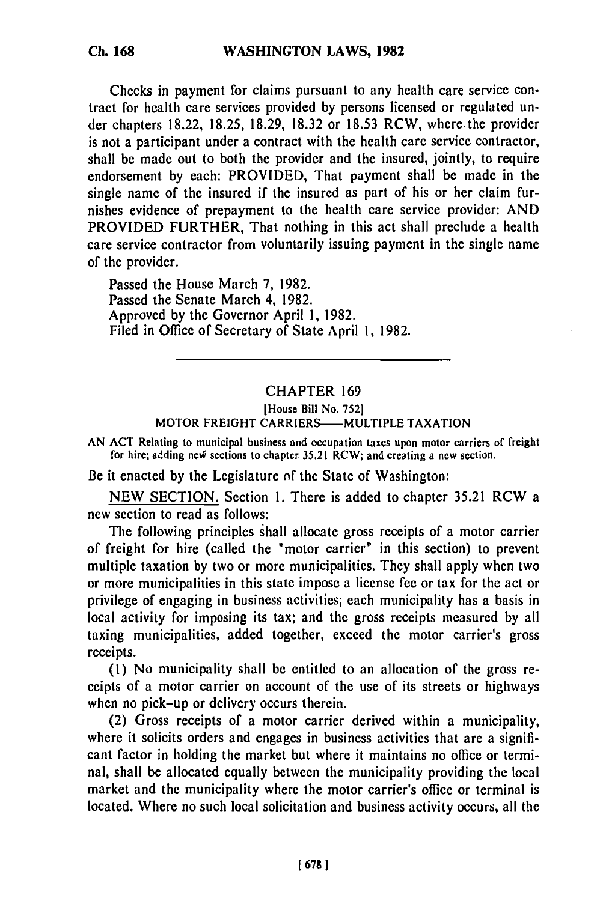Checks in payment for claims pursuant to any health care service contract for health care services provided by persons licensed or regulated under chapters 18.22, 18.25, 18.29, 18.32 or 18.53 RCW, where the provider is not a participant under a contract with the health care service contractor, shall be made out to both the provider and the insured, jointly, to require endorsement by each: PROVIDED, That payment shall be made in the single name of the insured if the insured as part of his or her claim furnishes evidence of prepayment to the health care service provider: AND PROVIDED FURTHER, That nothing in this act shall preclude a health care service contractor from voluntarily issuing payment in the single name of the provider.

Passed the House March 7, 1982. Passed the Senate March 4, 1982. Approved by the Governor April 1, 1982. Filed in Office of Secretary of State April 1, 1982.

# CHAPTER 169

### [House Bill No. 752] MOTOR FREIGHT CARRIERS-MULTIPLE TAXATION

AN ACT Relating to municipal business and occupation taxes upon motor carriers of freight for hire; adding new sections to chapter  $35.21$  RCW; and creating a new section.

Be it enacted by the Legislature *of* the State of Washington:

NEW SECTION. Section 1. There is added to chapter 35.21 RCW a new section to read as follows:

The following principles shall allocate gross receipts of a motor carrier of freight for hire (called the "motor carrier" in this section) to prevent multiple taxation by two or more municipalities. They shall apply when two or more municipalities in this state impose a license fee or tax for the act or privilege of engaging in business activities; each municipality has a basis in local activity for imposing its tax; and the gross receipts measured by all taxing municipalities, added together, exceed the motor carrier's gross receipts.

(1) No municipality shall be entitled to an allocation of the gross receipts of a motor carrier on account of the use of its streets or highways when no pick-up or delivery occurs therein.

(2) Gross receipts of a motor carrier derived within a municipality, where it solicits orders and engages in business activities that are a significant factor in holding the market but where it maintains no office or terminal, shall be allocated equally between the municipality providing the local market and the municipality where the motor carrier's office or terminal is located. Where no such local solicitation and business activity occurs, all the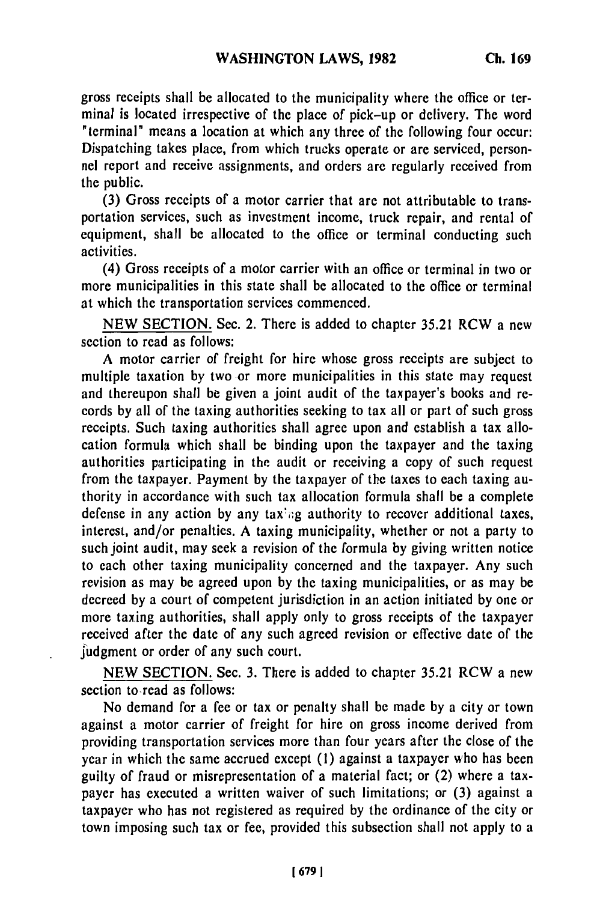gross receipts shall be allocated to the municipality where the office or terminal is located irrespective of the place of pick-up or delivery. The word "terminal" means a location at which any three of the following four occur: Dispatching takes place, from which trucks operate or are serviced, personnel report and receive assignments, and orders are regularly received from the public.

(3) Gross receipts of a motor carrier that are not attributable to transportation services, such as investment income, truck repair, and rental of equipment, shall be allocated to the office or terminal conducting such activities.

(4) Gross receipts of a motor carrier with an office or terminal in two or more municipalities in this state shall be allocated to the office or terminal at which the transportation services commenced.

NEW SECTION. Sec. 2. There is added to chapter 35.21 RCW a new section to read as follows:

A motor carrier of freight for hire whose gross receipts are subject to multiple taxation by two or more municipalities in this state may request and thereupon shall be given a joint audit of the taxpayer's books and records by all of the taxing authorities seeking to tax all or part of such gross receipts. Such taxing authorities shall agree upon and establish a tax allocation formula which shall be binding upon the taxpayer and the taxing authorities participating in the audit or receiving a copy of such request from the taxpayer. Payment by the taxpayer of the taxes to each taxing authority in accordance with such tax allocation formula shall be a complete defense in any action by any taxing authority to recover additional taxes, interest, and/or penalties. A taxing municipality, whether or not a party to such joint audit, may seek a revision of the formula by giving written notice to each other taxing municipality concerned and the taxpayer. Any such revision as may be agreed upon by the taxing municipalities, or as may be decreed by a court of competent jurisdiction in an action initiated by one or more taxing authorities, shall apply only to gross receipts of the taxpayer received after the date of any such agreed revision or effective date of the judgment or order of any such court.

NEW SECTION. Sec. 3. There is added to chapter 35.21 RCW a new section to-read as follows:

No demand for a fee or tax or penalty shall be made by a city or town against a motor carrier of freight for hire on gross income derived from providing transportation services more than four years after the close of the year in which the same accrued except (1) against a taxpayer who has been guilty of fraud or misrepresentation of a material fact; or (2) where a taxpayer has executed a written waiver of such limitations; or (3) against a taxpayer who has not registered as required by the ordinance of the city or town imposing such tax or fee, provided this subsection shall not apply to a